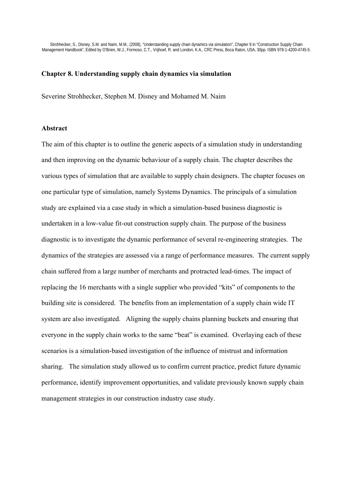#### **Chapter 8. Understanding supply chain dynamics via simulation**

Severine Strohhecker, Stephen M. Disney and Mohamed M. Naim

### **Abstract**

The aim of this chapter is to outline the generic aspects of a simulation study in understanding and then improving on the dynamic behaviour of a supply chain. The chapter describes the various types of simulation that are available to supply chain designers. The chapter focuses on one particular type of simulation, namely Systems Dynamics. The principals of a simulation study are explained via a case study in which a simulation-based business diagnostic is undertaken in a low-value fit-out construction supply chain. The purpose of the business diagnostic is to investigate the dynamic performance of several re-engineering strategies. The dynamics of the strategies are assessed via a range of performance measures. The current supply chain suffered from a large number of merchants and protracted lead-times. The impact of replacing the 16 merchants with a single supplier who provided "kits" of components to the building site is considered. The benefits from an implementation of a supply chain wide IT system are also investigated. Aligning the supply chains planning buckets and ensuring that everyone in the supply chain works to the same "beat" is examined. Overlaying each of these scenarios is a simulation-based investigation of the influence of mistrust and information sharing. The simulation study allowed us to confirm current practice, predict future dynamic performance, identify improvement opportunities, and validate previously known supply chain management strategies in our construction industry case study.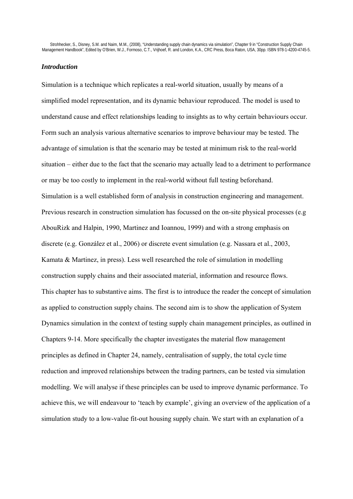#### *Introduction*

Simulation is a technique which replicates a real-world situation, usually by means of a simplified model representation, and its dynamic behaviour reproduced. The model is used to understand cause and effect relationships leading to insights as to why certain behaviours occur. Form such an analysis various alternative scenarios to improve behaviour may be tested. The advantage of simulation is that the scenario may be tested at minimum risk to the real-world situation – either due to the fact that the scenario may actually lead to a detriment to performance or may be too costly to implement in the real-world without full testing beforehand. Simulation is a well established form of analysis in construction engineering and management. Previous research in construction simulation has focussed on the on-site physical processes (e.g AbouRizk and Halpin, 1990, Martinez and Ioannou, 1999) and with a strong emphasis on discrete (e.g. González et al., 2006) or discrete event simulation (e.g. Nassara et al., 2003, Kamata & Martinez, in press). Less well researched the role of simulation in modelling construction supply chains and their associated material, information and resource flows. This chapter has to substantive aims. The first is to introduce the reader the concept of simulation as applied to construction supply chains. The second aim is to show the application of System Dynamics simulation in the context of testing supply chain management principles, as outlined in Chapters 9-14. More specifically the chapter investigates the material flow management principles as defined in Chapter 24, namely, centralisation of supply, the total cycle time reduction and improved relationships between the trading partners, can be tested via simulation modelling. We will analyse if these principles can be used to improve dynamic performance. To achieve this, we will endeavour to 'teach by example', giving an overview of the application of a simulation study to a low-value fit-out housing supply chain. We start with an explanation of a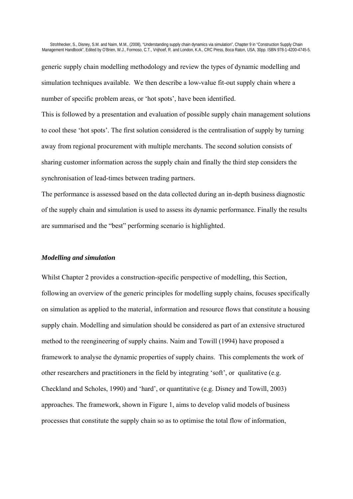generic supply chain modelling methodology and review the types of dynamic modelling and simulation techniques available. We then describe a low-value fit-out supply chain where a number of specific problem areas, or 'hot spots', have been identified.

This is followed by a presentation and evaluation of possible supply chain management solutions to cool these 'hot spots'. The first solution considered is the centralisation of supply by turning away from regional procurement with multiple merchants. The second solution consists of sharing customer information across the supply chain and finally the third step considers the synchronisation of lead-times between trading partners.

The performance is assessed based on the data collected during an in-depth business diagnostic of the supply chain and simulation is used to assess its dynamic performance. Finally the results are summarised and the "best" performing scenario is highlighted.

### *Modelling and simulation*

Whilst Chapter 2 provides a construction-specific perspective of modelling, this Section, following an overview of the generic principles for modelling supply chains, focuses specifically on simulation as applied to the material, information and resource flows that constitute a housing supply chain. Modelling and simulation should be considered as part of an extensive structured method to the reengineering of supply chains. Naim and Towill (1994) have proposed a framework to analyse the dynamic properties of supply chains. This complements the work of other researchers and practitioners in the field by integrating 'soft', or qualitative (e.g. Checkland and Scholes, 1990) and 'hard', or quantitative (e.g. Disney and Towill, 2003) approaches. The framework, shown in Figure 1, aims to develop valid models of business processes that constitute the supply chain so as to optimise the total flow of information,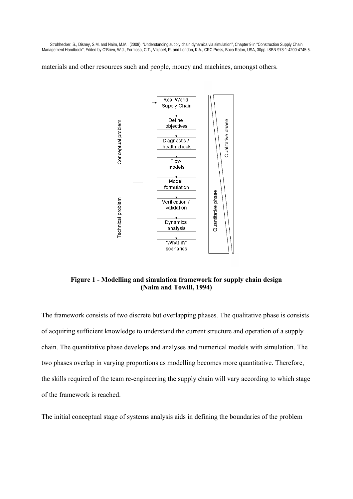materials and other resources such and people, money and machines, amongst others.



**Figure 1 - Modelling and simulation framework for supply chain design (Naim and Towill, 1994)** 

The framework consists of two discrete but overlapping phases. The qualitative phase is consists of acquiring sufficient knowledge to understand the current structure and operation of a supply chain. The quantitative phase develops and analyses and numerical models with simulation. The two phases overlap in varying proportions as modelling becomes more quantitative. Therefore, the skills required of the team re-engineering the supply chain will vary according to which stage of the framework is reached.

The initial conceptual stage of systems analysis aids in defining the boundaries of the problem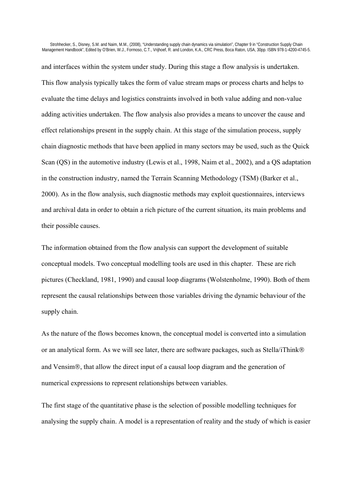Management Handbook", Edited by O'Brien, W.J., Formoso, C.T., Vrijhoef, R. and London, K.A., CRC Press, Boca Raton, USA, 30pp. ISBN 978-1-4200-4745-5. and interfaces within the system under study. During this stage a flow analysis is undertaken. This flow analysis typically takes the form of value stream maps or process charts and helps to evaluate the time delays and logistics constraints involved in both value adding and non-value adding activities undertaken. The flow analysis also provides a means to uncover the cause and effect relationships present in the supply chain. At this stage of the simulation process, supply chain diagnostic methods that have been applied in many sectors may be used, such as the Quick Scan (QS) in the automotive industry (Lewis et al., 1998, Naim et al., 2002), and a QS adaptation in the construction industry, named the Terrain Scanning Methodology (TSM) (Barker et al., 2000). As in the flow analysis, such diagnostic methods may exploit questionnaires, interviews and archival data in order to obtain a rich picture of the current situation, its main problems and their possible causes.

Strohhecker, S., Disney, S.M. and Naim, M.M., (2008), "Understanding supply chain dynamics via simulation", Chapter 9 in "Construction Supply Chain

The information obtained from the flow analysis can support the development of suitable conceptual models. Two conceptual modelling tools are used in this chapter. These are rich pictures (Checkland, 1981, 1990) and causal loop diagrams (Wolstenholme, 1990). Both of them represent the causal relationships between those variables driving the dynamic behaviour of the supply chain.

As the nature of the flows becomes known, the conceptual model is converted into a simulation or an analytical form. As we will see later, there are software packages, such as Stella/iThink and Vensim $\mathcal{D}$ , that allow the direct input of a causal loop diagram and the generation of numerical expressions to represent relationships between variables.

The first stage of the quantitative phase is the selection of possible modelling techniques for analysing the supply chain. A model is a representation of reality and the study of which is easier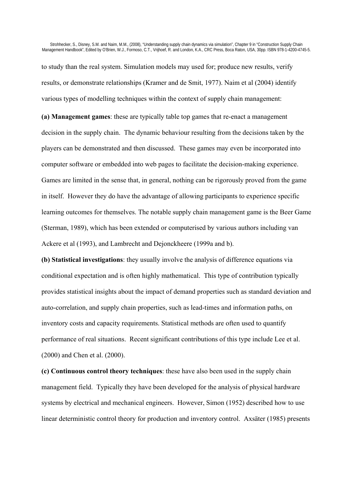to study than the real system. Simulation models may used for; produce new results, verify results, or demonstrate relationships (Kramer and de Smit, 1977). Naim et al (2004) identify various types of modelling techniques within the context of supply chain management:

**(a) Management games**: these are typically table top games that re-enact a management decision in the supply chain. The dynamic behaviour resulting from the decisions taken by the players can be demonstrated and then discussed. These games may even be incorporated into computer software or embedded into web pages to facilitate the decision-making experience. Games are limited in the sense that, in general, nothing can be rigorously proved from the game in itself. However they do have the advantage of allowing participants to experience specific learning outcomes for themselves. The notable supply chain management game is the Beer Game (Sterman, 1989), which has been extended or computerised by various authors including van Ackere et al (1993), and Lambrecht and Dejonckheere (1999a and b).

**(b) Statistical investigations**: they usually involve the analysis of difference equations via conditional expectation and is often highly mathematical. This type of contribution typically provides statistical insights about the impact of demand properties such as standard deviation and auto-correlation, and supply chain properties, such as lead-times and information paths, on inventory costs and capacity requirements. Statistical methods are often used to quantify performance of real situations. Recent significant contributions of this type include Lee et al. (2000) and Chen et al. (2000).

**(c) Continuous control theory techniques**: these have also been used in the supply chain management field. Typically they have been developed for the analysis of physical hardware systems by electrical and mechanical engineers. However, Simon (1952) described how to use linear deterministic control theory for production and inventory control. Axsäter (1985) presents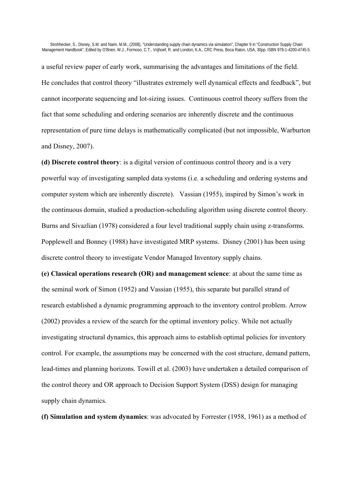a useful review paper of early work, summarising the advantages and limitations of the field. He concludes that control theory "illustrates extremely well dynamical effects and feedback", but cannot incorporate sequencing and lot-sizing issues. Continuous control theory suffers from the fact that some scheduling and ordering scenarios are inherently discrete and the continuous representation of pure time delays is mathematically complicated (but not impossible, Warburton and Disney, 2007).

Strohhecker, S., Disney, S.M. and Naim, M.M., (2008), "Understanding supply chain dynamics via simulation", Chapter 9 in "Construction Supply Chain Management Handbook", Edited by O'Brien, W.J., Formoso, C.T., Vrijhoef, R. and London, K.A., CRC Press, Boca Raton, USA, 30pp. ISBN 978-1-4200-4745-5.

**(d) Discrete control theory**: is a digital version of continuous control theory and is a very powerful way of investigating sampled data systems (i.e. a scheduling and ordering systems and computer system which are inherently discrete). Vassian (1955), inspired by Simon's work in the continuous domain, studied a production-scheduling algorithm using discrete control theory. Burns and Sivazlian (1978) considered a four level traditional supply chain using z-transforms. Popplewell and Bonney (1988) have investigated MRP systems. Disney (2001) has been using discrete control theory to investigate Vendor Managed Inventory supply chains.

**(e) Classical operations research (OR) and management science**: at about the same time as the seminal work of Simon (1952) and Vassian (1955), this separate but parallel strand of research established a dynamic programming approach to the inventory control problem. Arrow (2002) provides a review of the search for the optimal inventory policy. While not actually investigating structural dynamics, this approach aims to establish optimal policies for inventory control. For example, the assumptions may be concerned with the cost structure, demand pattern, lead-times and planning horizons. Towill et al. (2003) have undertaken a detailed comparison of the control theory and OR approach to Decision Support System (DSS) design for managing supply chain dynamics.

**(f) Simulation and system dynamics**: was advocated by Forrester (1958, 1961) as a method of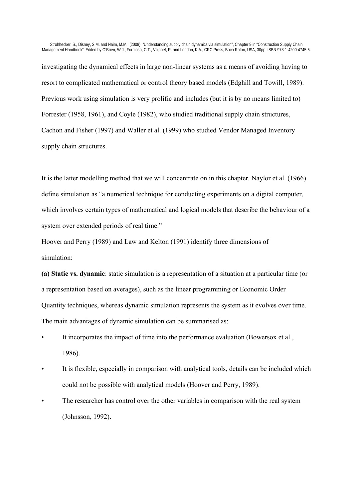Strohhecker, S., Disney, S.M. and Naim, M.M., (2008), "Understanding supply chain dynamics via simulation", Chapter 9 in "Construction Supply Chain Management Handbook", Edited by O'Brien, W.J., Formoso, C.T., Vrijhoef, R. and London, K.A., CRC Press, Boca Raton, USA, 30pp. ISBN 978-1-4200-4745-5. investigating the dynamical effects in large non-linear systems as a means of avoiding having to resort to complicated mathematical or control theory based models (Edghill and Towill, 1989). Previous work using simulation is very prolific and includes (but it is by no means limited to) Forrester (1958, 1961), and Coyle (1982), who studied traditional supply chain structures, Cachon and Fisher (1997) and Waller et al. (1999) who studied Vendor Managed Inventory supply chain structures.

It is the latter modelling method that we will concentrate on in this chapter. Naylor et al. (1966) define simulation as "a numerical technique for conducting experiments on a digital computer, which involves certain types of mathematical and logical models that describe the behaviour of a system over extended periods of real time."

Hoover and Perry (1989) and Law and Kelton (1991) identify three dimensions of simulation:

**(a) Static vs. dynamic**: static simulation is a representation of a situation at a particular time (or a representation based on averages), such as the linear programming or Economic Order Quantity techniques, whereas dynamic simulation represents the system as it evolves over time. The main advantages of dynamic simulation can be summarised as:

- It incorporates the impact of time into the performance evaluation (Bowersox et al., 1986).
- It is flexible, especially in comparison with analytical tools, details can be included which could not be possible with analytical models (Hoover and Perry, 1989).
- The researcher has control over the other variables in comparison with the real system (Johnsson, 1992).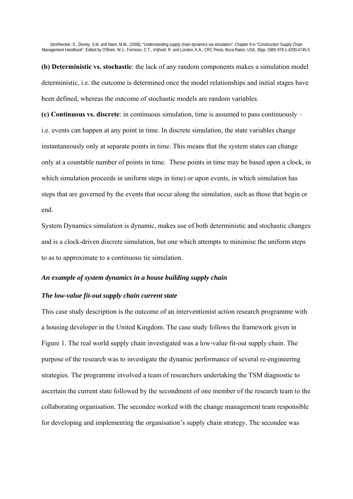**(b) Deterministic vs. stochastic**: the lack of any random components makes a simulation model deterministic, i.e. the outcome is determined once the model relationships and initial stages have been defined, whereas the outcome of stochastic models are random variables.

**(c) Continuous vs. discrete**: in continuous simulation, time is assumed to pass continuously – i.e. events can happen at any point in time. In discrete simulation, the state variables change instantaneously only at separate points in time. This means that the system states can change only at a countable number of points in time. These points in time may be based upon a clock, in which simulation proceeds in uniform steps in time) or upon events, in which simulation has steps that are governed by the events that occur along the simulation, such as those that begin or end.

System Dynamics simulation is dynamic, makes use of both deterministic and stochastic changes and is a clock-driven discrete simulation, but one which attempts to minimise the uniform steps to as to approximate to a continuous tie simulation.

### *An example of system dynamics in a house building supply chain*

### *The low-value fit-out supply chain current state*

This case study description is the outcome of an interventionist action research programme with a housing developer in the United Kingdom. The case study follows the framework given in Figure 1. The real world supply chain investigated was a low-value fit-out supply chain. The purpose of the research was to investigate the dynamic performance of several re-engineering strategies. The programme involved a team of researchers undertaking the TSM diagnostic to ascertain the current state followed by the secondment of one member of the research team to the collaborating organisation. The secondee worked with the change management team responsible for developing and implementing the organisation's supply chain strategy. The secondee was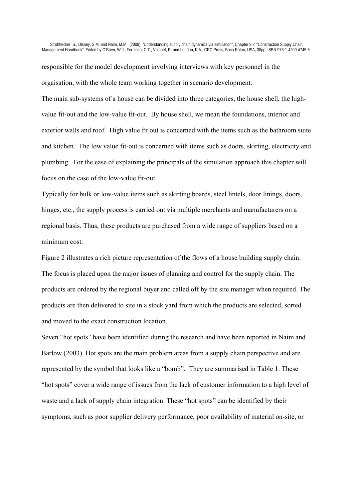responsible for the model development involving interviews with key personnel in the orgaisation, with the whole team working together in scenario development. The main sub-systems of a house can be divided into three categories, the house shell, the highvalue fit-out and the low-value fit-out. By house shell, we mean the foundations, interior and exterior walls and roof. High value fit out is concerned with the items such as the bathroom suite and kitchen. The low value fit-out is concerned with items such as doors, skirting, electricity and plumbing. For the ease of explaining the principals of the simulation approach this chapter will focus on the case of the low-value fit-out.

Typically for bulk or low-value items such as skirting boards, steel lintels, door linings, doors, hinges, etc., the supply process is carried out via multiple merchants and manufacturers on a regional basis. Thus, these products are purchased from a wide range of suppliers based on a minimum cost.

Figure 2 illustrates a rich picture representation of the flows of a house building supply chain. The focus is placed upon the major issues of planning and control for the supply chain. The products are ordered by the regional buyer and called off by the site manager when required. The products are then delivered to site in a stock yard from which the products are selected, sorted and moved to the exact construction location.

Seven "hot spots" have been identified during the research and have been reported in Naim and Barlow (2003). Hot spots are the main problem areas from a supply chain perspective and are represented by the symbol that looks like a "bomb". They are summarised in Table 1. These "hot spots" cover a wide range of issues from the lack of customer information to a high level of waste and a lack of supply chain integration. These "hot spots" can be identified by their symptoms, such as poor supplier delivery performance, poor availability of material on-site, or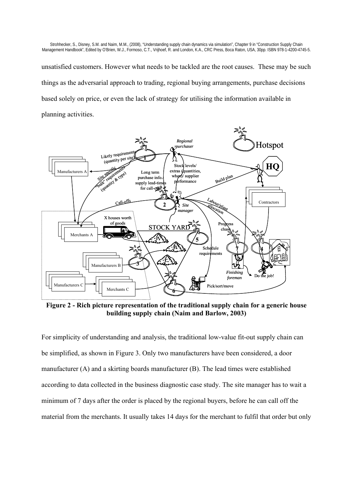Strohhecker, S., Disney, S.M. and Naim, M.M., (2008), "Understanding supply chain dynamics via simulation", Chapter 9 in "Construction Supply Chain Management Handbook", Edited by O'Brien, W.J., Formoso, C.T., Vrijhoef, R. and London, K.A., CRC Press, Boca Raton, USA, 30pp. ISBN 978-1-4200-4745-5. unsatisfied customers. However what needs to be tackled are the root causes. These may be such things as the adversarial approach to trading, regional buying arrangements, purchase decisions based solely on price, or even the lack of strategy for utilising the information available in planning activities.



**Figure 2 - Rich picture representation of the traditional supply chain for a generic house building supply chain (Naim and Barlow, 2003)** 

For simplicity of understanding and analysis, the traditional low-value fit-out supply chain can be simplified, as shown in Figure 3. Only two manufacturers have been considered, a door manufacturer (A) and a skirting boards manufacturer (B). The lead times were established according to data collected in the business diagnostic case study. The site manager has to wait a minimum of 7 days after the order is placed by the regional buyers, before he can call off the material from the merchants. It usually takes 14 days for the merchant to fulfil that order but only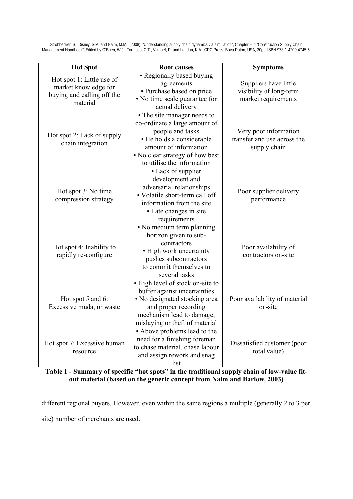| <b>Hot Spot</b>                                                                             | <b>Root causes</b>                                                                                                                                                                                      | <b>Symptoms</b>                                                         |
|---------------------------------------------------------------------------------------------|---------------------------------------------------------------------------------------------------------------------------------------------------------------------------------------------------------|-------------------------------------------------------------------------|
| Hot spot 1: Little use of<br>market knowledge for<br>buying and calling off the<br>material | • Regionally based buying<br>agreements<br>• Purchase based on price<br>• No time scale guarantee for<br>actual delivery                                                                                | Suppliers have little<br>visibility of long-term<br>market requirements |
| Hot spot 2: Lack of supply<br>chain integration                                             | • The site manager needs to<br>co-ordinate a large amount of<br>people and tasks<br>• He holds a considerable<br>amount of information<br>• No clear strategy of how best<br>to utilise the information | Very poor information<br>transfer and use across the<br>supply chain    |
| Hot spot 3: No time<br>compression strategy                                                 | • Lack of supplier<br>development and<br>adversarial relationships<br>· Volatile short-term call off<br>information from the site<br>• Late changes in site<br>requirements                             | Poor supplier delivery<br>performance                                   |
| Hot spot 4: Inability to<br>rapidly re-configure                                            | • No medium term planning<br>horizon given to sub-<br>contractors<br>• High work uncertainty<br>pushes subcontractors<br>to commit themselves to<br>several tasks                                       | Poor availability of<br>contractors on-site                             |
| Hot spot 5 and 6:<br>Excessive muda, or waste                                               | · High level of stock on-site to<br>buffer against uncertainties<br>• No designated stocking area<br>and proper recording<br>mechanism lead to damage,<br>mislaying or theft of material                | Poor availability of material<br>on-site                                |
| Hot spot 7: Excessive human<br>resource                                                     | • Above problems lead to the<br>need for a finishing foreman<br>to chase material, chase labour<br>and assign rework and snag<br>list                                                                   | Dissatisfied customer (poor<br>total value)                             |

**Table 1 - Summary of specific "hot spots" in the traditional supply chain of low-value fitout material (based on the generic concept from Naim and Barlow, 2003)** 

different regional buyers. However, even within the same regions a multiple (generally 2 to 3 per site) number of merchants are used.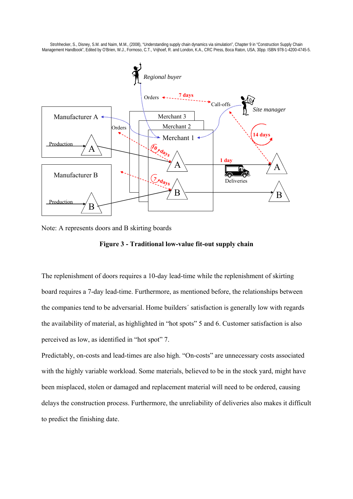

Note: A represents doors and B skirting boards

![](_page_12_Figure_3.jpeg)

The replenishment of doors requires a 10-day lead-time while the replenishment of skirting board requires a 7-day lead-time. Furthermore, as mentioned before, the relationships between the companies tend to be adversarial. Home builders´ satisfaction is generally low with regards the availability of material, as highlighted in "hot spots" 5 and 6. Customer satisfaction is also perceived as low, as identified in "hot spot" 7.

Predictably, on-costs and lead-times are also high. "On-costs" are unnecessary costs associated with the highly variable workload. Some materials, believed to be in the stock yard, might have been misplaced, stolen or damaged and replacement material will need to be ordered, causing delays the construction process. Furthermore, the unreliability of deliveries also makes it difficult to predict the finishing date.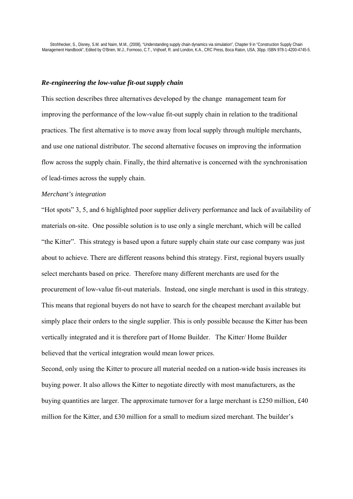### *Re-engineering the low-value fit-out supply chain*

This section describes three alternatives developed by the change management team for improving the performance of the low-value fit-out supply chain in relation to the traditional practices. The first alternative is to move away from local supply through multiple merchants, and use one national distributor. The second alternative focuses on improving the information flow across the supply chain. Finally, the third alternative is concerned with the synchronisation of lead-times across the supply chain.

#### *Merchant's integration*

"Hot spots" 3, 5, and 6 highlighted poor supplier delivery performance and lack of availability of materials on-site. One possible solution is to use only a single merchant, which will be called "the Kitter". This strategy is based upon a future supply chain state our case company was just about to achieve. There are different reasons behind this strategy. First, regional buyers usually select merchants based on price. Therefore many different merchants are used for the procurement of low-value fit-out materials. Instead, one single merchant is used in this strategy. This means that regional buyers do not have to search for the cheapest merchant available but simply place their orders to the single supplier. This is only possible because the Kitter has been vertically integrated and it is therefore part of Home Builder. The Kitter/ Home Builder believed that the vertical integration would mean lower prices.

Second, only using the Kitter to procure all material needed on a nation-wide basis increases its buying power. It also allows the Kitter to negotiate directly with most manufacturers, as the buying quantities are larger. The approximate turnover for a large merchant is £250 million, £40 million for the Kitter, and £30 million for a small to medium sized merchant. The builder's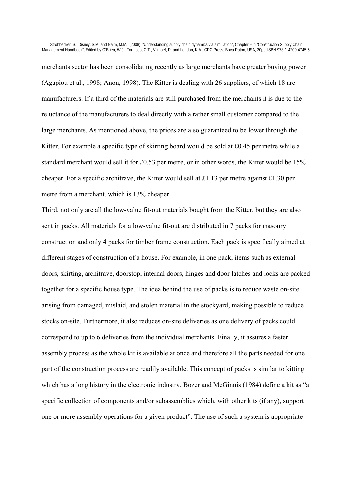merchants sector has been consolidating recently as large merchants have greater buying power (Agapiou et al., 1998; Anon, 1998). The Kitter is dealing with 26 suppliers, of which 18 are manufacturers. If a third of the materials are still purchased from the merchants it is due to the reluctance of the manufacturers to deal directly with a rather small customer compared to the large merchants. As mentioned above, the prices are also guaranteed to be lower through the Kitter. For example a specific type of skirting board would be sold at £0.45 per metre while a standard merchant would sell it for £0.53 per metre, or in other words, the Kitter would be 15% cheaper. For a specific architrave, the Kitter would sell at £1.13 per metre against £1.30 per metre from a merchant, which is 13% cheaper.

Third, not only are all the low-value fit-out materials bought from the Kitter, but they are also sent in packs. All materials for a low-value fit-out are distributed in 7 packs for masonry construction and only 4 packs for timber frame construction. Each pack is specifically aimed at different stages of construction of a house. For example, in one pack, items such as external doors, skirting, architrave, doorstop, internal doors, hinges and door latches and locks are packed together for a specific house type. The idea behind the use of packs is to reduce waste on-site arising from damaged, mislaid, and stolen material in the stockyard, making possible to reduce stocks on-site. Furthermore, it also reduces on-site deliveries as one delivery of packs could correspond to up to 6 deliveries from the individual merchants. Finally, it assures a faster assembly process as the whole kit is available at once and therefore all the parts needed for one part of the construction process are readily available. This concept of packs is similar to kitting which has a long history in the electronic industry. Bozer and McGinnis (1984) define a kit as "a specific collection of components and/or subassemblies which, with other kits (if any), support one or more assembly operations for a given product". The use of such a system is appropriate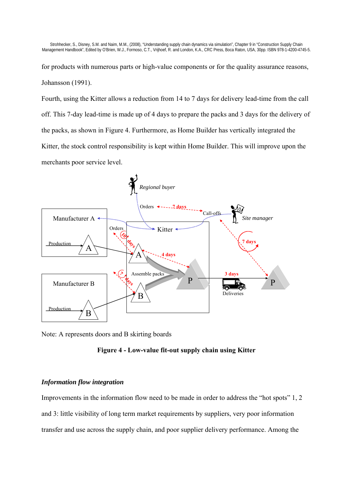Management Handbook", Edited by O'Brien, W.J., Formoso, C.T., Vrijhoef, R. and London, K.A., CRC Press, Boca Raton, USA, 30pp. ISBN 978-1-4200-4745-5. for products with numerous parts or high-value components or for the quality assurance reasons, Johansson (1991).

Strohhecker, S., Disney, S.M. and Naim, M.M., (2008), "Understanding supply chain dynamics via simulation", Chapter 9 in "Construction Supply Chain

Fourth, using the Kitter allows a reduction from 14 to 7 days for delivery lead-time from the call off. This 7-day lead-time is made up of 4 days to prepare the packs and 3 days for the delivery of the packs, as shown in Figure 4. Furthermore, as Home Builder has vertically integrated the Kitter, the stock control responsibility is kept within Home Builder. This will improve upon the merchants poor service level.

![](_page_15_Figure_2.jpeg)

Note: A represents doors and B skirting boards

![](_page_15_Figure_4.jpeg)

# *Information flow integration*

Improvements in the information flow need to be made in order to address the "hot spots" 1, 2 and 3: little visibility of long term market requirements by suppliers, very poor information transfer and use across the supply chain, and poor supplier delivery performance. Among the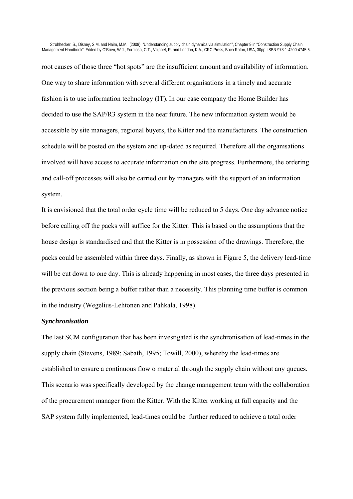Management Handbook", Edited by O'Brien, W.J., Formoso, C.T., Vrijhoef, R. and London, K.A., CRC Press, Boca Raton, USA, 30pp. ISBN 978-1-4200-4745-5. root causes of those three "hot spots" are the insufficient amount and availability of information. One way to share information with several different organisations in a timely and accurate fashion is to use information technology (IT). In our case company the Home Builder has decided to use the SAP/R3 system in the near future. The new information system would be accessible by site managers, regional buyers, the Kitter and the manufacturers. The construction schedule will be posted on the system and up-dated as required. Therefore all the organisations involved will have access to accurate information on the site progress. Furthermore, the ordering and call-off processes will also be carried out by managers with the support of an information system.

Strohhecker, S., Disney, S.M. and Naim, M.M., (2008), "Understanding supply chain dynamics via simulation", Chapter 9 in "Construction Supply Chain

It is envisioned that the total order cycle time will be reduced to 5 days. One day advance notice before calling off the packs will suffice for the Kitter. This is based on the assumptions that the house design is standardised and that the Kitter is in possession of the drawings. Therefore, the packs could be assembled within three days. Finally, as shown in Figure 5, the delivery lead-time will be cut down to one day. This is already happening in most cases, the three days presented in the previous section being a buffer rather than a necessity. This planning time buffer is common in the industry (Wegelius-Lehtonen and Pahkala, 1998).

#### *Synchronisation*

The last SCM configuration that has been investigated is the synchronisation of lead-times in the supply chain (Stevens, 1989; Sabath, 1995; Towill, 2000), whereby the lead-times are established to ensure a continuous flow o material through the supply chain without any queues. This scenario was specifically developed by the change management team with the collaboration of the procurement manager from the Kitter. With the Kitter working at full capacity and the SAP system fully implemented, lead-times could be further reduced to achieve a total order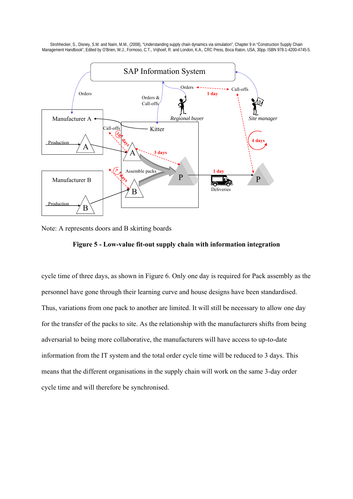![](_page_17_Figure_1.jpeg)

Note: A represents doors and B skirting boards

![](_page_17_Figure_3.jpeg)

cycle time of three days, as shown in Figure 6. Only one day is required for Pack assembly as the personnel have gone through their learning curve and house designs have been standardised. Thus, variations from one pack to another are limited. It will still be necessary to allow one day for the transfer of the packs to site. As the relationship with the manufacturers shifts from being adversarial to being more collaborative, the manufacturers will have access to up-to-date information from the IT system and the total order cycle time will be reduced to 3 days. This means that the different organisations in the supply chain will work on the same 3-day order cycle time and will therefore be synchronised.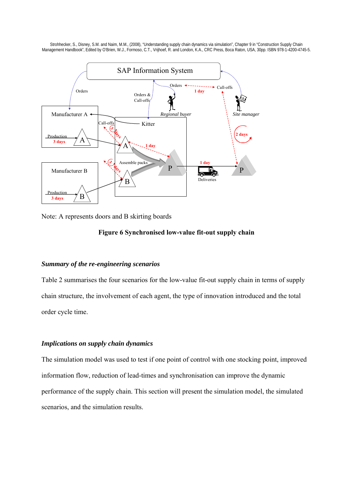![](_page_18_Figure_1.jpeg)

Note: A represents doors and B skirting boards

# **Figure 6 Synchronised low-value fit-out supply chain**

# *Summary of the re-engineering scenarios*

Table 2 summarises the four scenarios for the low-value fit-out supply chain in terms of supply chain structure, the involvement of each agent, the type of innovation introduced and the total order cycle time.

# *Implications on supply chain dynamics*

The simulation model was used to test if one point of control with one stocking point, improved information flow, reduction of lead-times and synchronisation can improve the dynamic performance of the supply chain. This section will present the simulation model, the simulated scenarios, and the simulation results.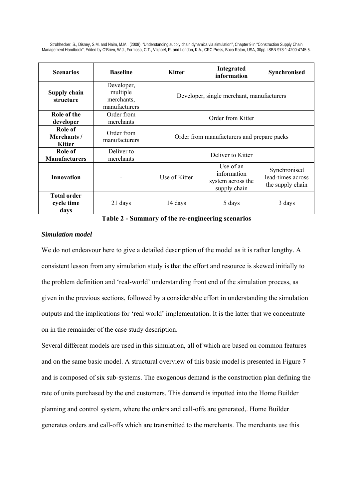| <b>Scenarios</b>                         | <b>Baseline</b>                                       | <b>Kitter</b>                              | Integrated<br>information                                     | Synchronised                                          |
|------------------------------------------|-------------------------------------------------------|--------------------------------------------|---------------------------------------------------------------|-------------------------------------------------------|
| Supply chain<br>structure                | Developer,<br>multiple<br>merchants,<br>manufacturers | Developer, single merchant, manufacturers  |                                                               |                                                       |
| Role of the<br>developer                 | Order from<br>merchants                               | Order from Kitter                          |                                                               |                                                       |
| Role of<br>Merchants /<br>Kitter         | Order from<br>manufacturers                           | Order from manufacturers and prepare packs |                                                               |                                                       |
| Role of<br><b>Manufacturers</b>          | Deliver to<br>merchants                               | Deliver to Kitter                          |                                                               |                                                       |
| <b>Innovation</b>                        |                                                       | Use of Kitter                              | Use of an<br>information<br>system across the<br>supply chain | Synchronised<br>lead-times across<br>the supply chain |
| <b>Total order</b><br>cycle time<br>days | 21 days                                               | 14 days                                    | 5 days                                                        | 3 days                                                |

![](_page_19_Figure_2.jpeg)

### *Simulation model*

We do not endeavour here to give a detailed description of the model as it is rather lengthy. A consistent lesson from any simulation study is that the effort and resource is skewed initially to the problem definition and 'real-world' understanding front end of the simulation process, as given in the previous sections, followed by a considerable effort in understanding the simulation outputs and the implications for 'real world' implementation. It is the latter that we concentrate on in the remainder of the case study description.

Several different models are used in this simulation, all of which are based on common features and on the same basic model. A structural overview of this basic model is presented in Figure 7 and is composed of six sub-systems. The exogenous demand is the construction plan defining the rate of units purchased by the end customers. This demand is inputted into the Home Builder planning and control system, where the orders and call-offs are generated,. Home Builder generates orders and call-offs which are transmitted to the merchants. The merchants use this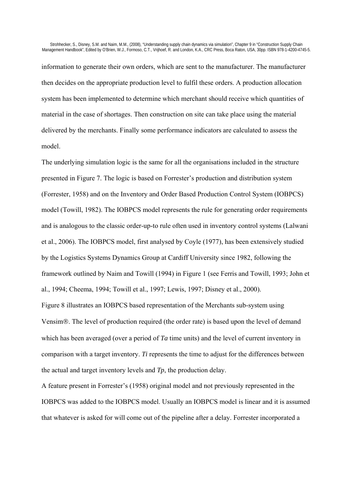Management Handbook", Edited by O'Brien, W.J., Formoso, C.T., Vrijhoef, R. and London, K.A., CRC Press, Boca Raton, USA, 30pp. ISBN 978-1-4200-4745-5. information to generate their own orders, which are sent to the manufacturer. The manufacturer then decides on the appropriate production level to fulfil these orders. A production allocation system has been implemented to determine which merchant should receive which quantities of material in the case of shortages. Then construction on site can take place using the material delivered by the merchants. Finally some performance indicators are calculated to assess the model.

Strohhecker, S., Disney, S.M. and Naim, M.M., (2008), "Understanding supply chain dynamics via simulation", Chapter 9 in "Construction Supply Chain

The underlying simulation logic is the same for all the organisations included in the structure presented in Figure 7. The logic is based on Forrester's production and distribution system (Forrester, 1958) and on the Inventory and Order Based Production Control System (IOBPCS) model (Towill, 1982). The IOBPCS model represents the rule for generating order requirements and is analogous to the classic order-up-to rule often used in inventory control systems (Lalwani et al., 2006). The IOBPCS model, first analysed by Coyle (1977), has been extensively studied by the Logistics Systems Dynamics Group at Cardiff University since 1982, following the framework outlined by Naim and Towill (1994) in Figure 1 (see Ferris and Towill, 1993; John et al., 1994; Cheema, 1994; Towill et al., 1997; Lewis, 1997; Disney et al., 2000). Figure 8 illustrates an IOBPCS based representation of the Merchants sub-system using Vensim®. The level of production required (the order rate) is based upon the level of demand which has been averaged (over a period of *Ta* time units) and the level of current inventory in comparison with a target inventory. *Ti* represents the time to adjust for the differences between the actual and target inventory levels and *Tp*, the production delay.

A feature present in Forrester's (1958) original model and not previously represented in the IOBPCS was added to the IOBPCS model. Usually an IOBPCS model is linear and it is assumed that whatever is asked for will come out of the pipeline after a delay. Forrester incorporated a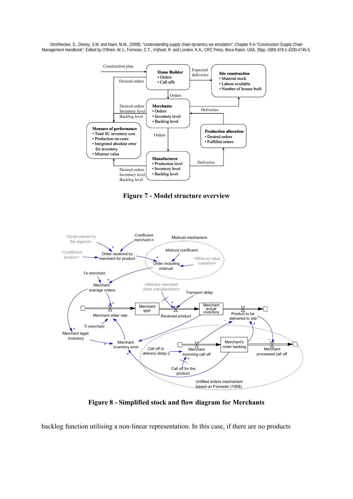![](_page_21_Figure_1.jpeg)

**Figure 7 - Model structure overview** 

![](_page_21_Figure_3.jpeg)

**Figure 8 - Simplified stock and flow diagram for Merchants**

backlog function utilising a non-linear representation. In this case, if there are no products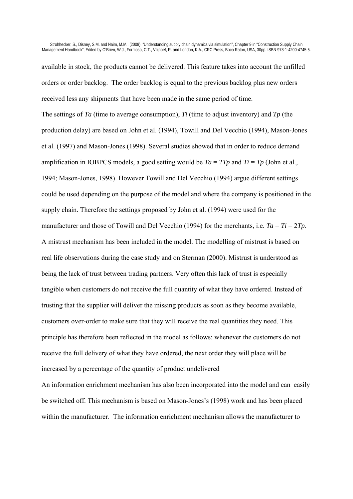available in stock, the products cannot be delivered. This feature takes into account the unfilled orders or order backlog. The order backlog is equal to the previous backlog plus new orders received less any shipments that have been made in the same period of time.

The settings of *Ta* (time to average consumption), *Ti* (time to adjust inventory) and *Tp* (the production delay) are based on John et al. (1994), Towill and Del Vecchio (1994), Mason-Jones et al. (1997) and Mason-Jones (1998). Several studies showed that in order to reduce demand amplification in IOBPCS models, a good setting would be  $Ta = 2Tp$  and  $Ti = Tp$  (John et al., 1994; Mason-Jones, 1998). However Towill and Del Vecchio (1994) argue different settings could be used depending on the purpose of the model and where the company is positioned in the supply chain. Therefore the settings proposed by John et al. (1994) were used for the manufacturer and those of Towill and Del Vecchio (1994) for the merchants, i.e.  $Ta = Ti = 2Tp$ . A mistrust mechanism has been included in the model. The modelling of mistrust is based on real life observations during the case study and on Sterman (2000). Mistrust is understood as being the lack of trust between trading partners. Very often this lack of trust is especially tangible when customers do not receive the full quantity of what they have ordered. Instead of trusting that the supplier will deliver the missing products as soon as they become available, customers over-order to make sure that they will receive the real quantities they need. This principle has therefore been reflected in the model as follows: whenever the customers do not receive the full delivery of what they have ordered, the next order they will place will be increased by a percentage of the quantity of product undelivered

An information enrichment mechanism has also been incorporated into the model and can easily be switched off. This mechanism is based on Mason-Jones's (1998) work and has been placed within the manufacturer. The information enrichment mechanism allows the manufacturer to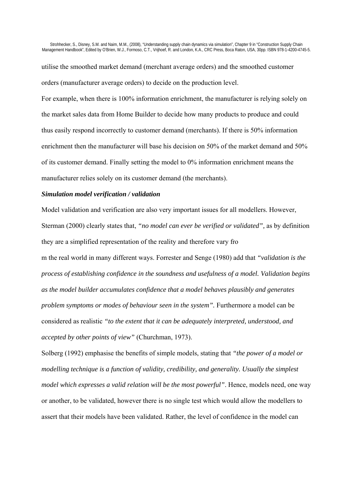utilise the smoothed market demand (merchant average orders) and the smoothed customer orders (manufacturer average orders) to decide on the production level.

For example, when there is 100% information enrichment, the manufacturer is relying solely on the market sales data from Home Builder to decide how many products to produce and could thus easily respond incorrectly to customer demand (merchants). If there is 50% information enrichment then the manufacturer will base his decision on 50% of the market demand and 50% of its customer demand. Finally setting the model to 0% information enrichment means the manufacturer relies solely on its customer demand (the merchants).

### *Simulation model verification / validation*

Model validation and verification are also very important issues for all modellers. However, Sterman (2000) clearly states that, *"no model can ever be verified or validated",* as by definition they are a simplified representation of the reality and therefore vary fro m the real world in many different ways. Forrester and Senge (1980) add that *"validation is the process of establishing confidence in the soundness and usefulness of a model. Validation begins as the model builder accumulates confidence that a model behaves plausibly and generates problem symptoms or modes of behaviour seen in the system"*. Furthermore a model can be considered as realistic *"to the extent that it can be adequately interpreted, understood, and accepted by other points of view"* (Churchman, 1973).

Solberg (1992) emphasise the benefits of simple models, stating that *"the power of a model or modelling technique is a function of validity, credibility, and generality. Usually the simplest model which expresses a valid relation will be the most powerful"*. Hence, models need, one way or another, to be validated, however there is no single test which would allow the modellers to assert that their models have been validated. Rather, the level of confidence in the model can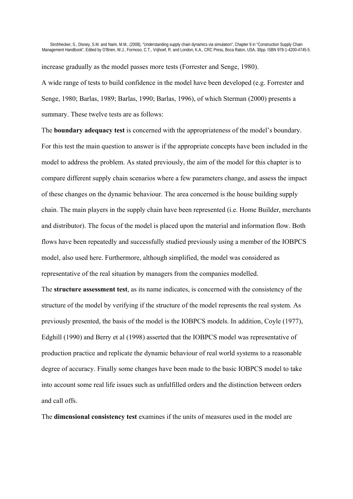increase gradually as the model passes more tests (Forrester and Senge, 1980). A wide range of tests to build confidence in the model have been developed (e.g. Forrester and Senge, 1980; Barlas, 1989; Barlas, 1990; Barlas, 1996), of which Sterman (2000) presents a summary. These twelve tests are as follows:

The **boundary adequacy test** is concerned with the appropriateness of the model's boundary. For this test the main question to answer is if the appropriate concepts have been included in the model to address the problem. As stated previously, the aim of the model for this chapter is to compare different supply chain scenarios where a few parameters change, and assess the impact of these changes on the dynamic behaviour. The area concerned is the house building supply chain. The main players in the supply chain have been represented (i.e. Home Builder, merchants and distributor). The focus of the model is placed upon the material and information flow. Both flows have been repeatedly and successfully studied previously using a member of the IOBPCS model, also used here. Furthermore, although simplified, the model was considered as representative of the real situation by managers from the companies modelled.

The **structure assessment test**, as its name indicates, is concerned with the consistency of the structure of the model by verifying if the structure of the model represents the real system. As previously presented, the basis of the model is the IOBPCS models. In addition, Coyle (1977), Edghill (1990) and Berry et al (1998) asserted that the IOBPCS model was representative of production practice and replicate the dynamic behaviour of real world systems to a reasonable degree of accuracy. Finally some changes have been made to the basic IOBPCS model to take into account some real life issues such as unfulfilled orders and the distinction between orders and call offs.

The **dimensional consistency test** examines if the units of measures used in the model are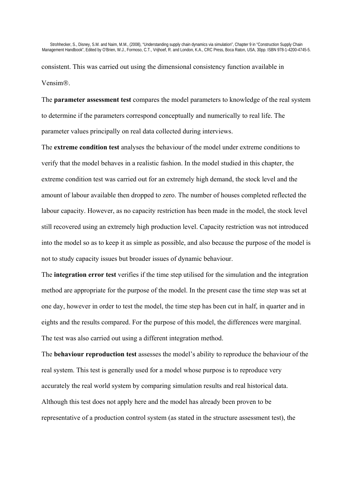Strohhecker, S., Disney, S.M. and Naim, M.M., (2008), "Understanding supply chain dynamics via simulation", Chapter 9 in "Construction Supply Chain Management Handbook", Edited by O'Brien, W.J., Formoso, C.T., Vrijhoef, R. and London, K.A., CRC Press, Boca Raton, USA, 30pp. ISBN 978-1-4200-4745-5. consistent. This was carried out using the dimensional consistency function available in  $Vensim@$ 

The **parameter assessment test** compares the model parameters to knowledge of the real system to determine if the parameters correspond conceptually and numerically to real life. The parameter values principally on real data collected during interviews.

The **extreme condition test** analyses the behaviour of the model under extreme conditions to verify that the model behaves in a realistic fashion. In the model studied in this chapter, the extreme condition test was carried out for an extremely high demand, the stock level and the amount of labour available then dropped to zero. The number of houses completed reflected the labour capacity. However, as no capacity restriction has been made in the model, the stock level still recovered using an extremely high production level. Capacity restriction was not introduced into the model so as to keep it as simple as possible, and also because the purpose of the model is not to study capacity issues but broader issues of dynamic behaviour.

The **integration error test** verifies if the time step utilised for the simulation and the integration method are appropriate for the purpose of the model. In the present case the time step was set at one day, however in order to test the model, the time step has been cut in half, in quarter and in eights and the results compared. For the purpose of this model, the differences were marginal. The test was also carried out using a different integration method.

The **behaviour reproduction test** assesses the model's ability to reproduce the behaviour of the real system. This test is generally used for a model whose purpose is to reproduce very accurately the real world system by comparing simulation results and real historical data. Although this test does not apply here and the model has already been proven to be representative of a production control system (as stated in the structure assessment test), the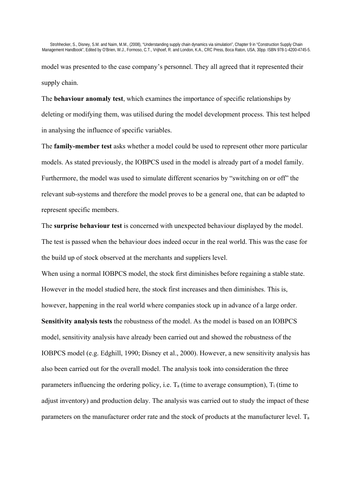Strohhecker, S., Disney, S.M. and Naim, M.M., (2008), "Understanding supply chain dynamics via simulation", Chapter 9 in "Construction Supply Chain Management Handbook", Edited by O'Brien, W.J., Formoso, C.T., Vrijhoef, R. and London, K.A., CRC Press, Boca Raton, USA, 30pp. ISBN 978-1-4200-4745-5. model was presented to the case company's personnel. They all agreed that it represented their supply chain.

The **behaviour anomaly test**, which examines the importance of specific relationships by deleting or modifying them, was utilised during the model development process. This test helped in analysing the influence of specific variables.

The **family-member test** asks whether a model could be used to represent other more particular models. As stated previously, the IOBPCS used in the model is already part of a model family. Furthermore, the model was used to simulate different scenarios by "switching on or off" the relevant sub-systems and therefore the model proves to be a general one, that can be adapted to represent specific members.

The **surprise behaviour test** is concerned with unexpected behaviour displayed by the model. The test is passed when the behaviour does indeed occur in the real world. This was the case for the build up of stock observed at the merchants and suppliers level.

When using a normal IOBPCS model, the stock first diminishes before regaining a stable state. However in the model studied here, the stock first increases and then diminishes. This is, however, happening in the real world where companies stock up in advance of a large order. **Sensitivity analysis tests** the robustness of the model. As the model is based on an IOBPCS model, sensitivity analysis have already been carried out and showed the robustness of the IOBPCS model (e.g. Edghill, 1990; Disney et al., 2000). However, a new sensitivity analysis has also been carried out for the overall model. The analysis took into consideration the three parameters influencing the ordering policy, i.e.  $T_a$  (time to average consumption),  $T_i$  (time to adjust inventory) and production delay. The analysis was carried out to study the impact of these parameters on the manufacturer order rate and the stock of products at the manufacturer level. Ta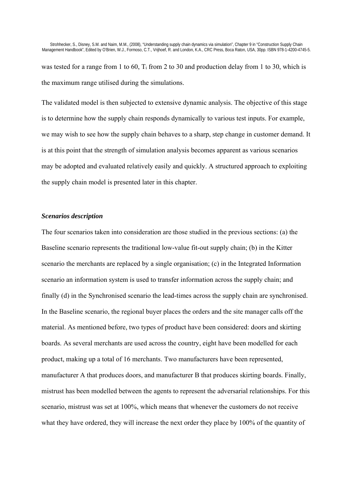Strohhecker, S., Disney, S.M. and Naim, M.M., (2008), "Understanding supply chain dynamics via simulation", Chapter 9 in "Construction Supply Chain Management Handbook", Edited by O'Brien, W.J., Formoso, C.T., Vrijhoef, R. and London, K.A., CRC Press, Boca Raton, USA, 30pp. ISBN 978-1-4200-4745-5. was tested for a range from 1 to 60,  $T_i$  from 2 to 30 and production delay from 1 to 30, which is the maximum range utilised during the simulations.

The validated model is then subjected to extensive dynamic analysis. The objective of this stage is to determine how the supply chain responds dynamically to various test inputs. For example, we may wish to see how the supply chain behaves to a sharp, step change in customer demand. It is at this point that the strength of simulation analysis becomes apparent as various scenarios may be adopted and evaluated relatively easily and quickly. A structured approach to exploiting the supply chain model is presented later in this chapter.

#### *Scenarios description*

The four scenarios taken into consideration are those studied in the previous sections: (a) the Baseline scenario represents the traditional low-value fit-out supply chain; (b) in the Kitter scenario the merchants are replaced by a single organisation; (c) in the Integrated Information scenario an information system is used to transfer information across the supply chain; and finally (d) in the Synchronised scenario the lead-times across the supply chain are synchronised. In the Baseline scenario, the regional buyer places the orders and the site manager calls off the material. As mentioned before, two types of product have been considered: doors and skirting boards. As several merchants are used across the country, eight have been modelled for each product, making up a total of 16 merchants. Two manufacturers have been represented, manufacturer A that produces doors, and manufacturer B that produces skirting boards. Finally, mistrust has been modelled between the agents to represent the adversarial relationships. For this scenario, mistrust was set at 100%, which means that whenever the customers do not receive what they have ordered, they will increase the next order they place by 100% of the quantity of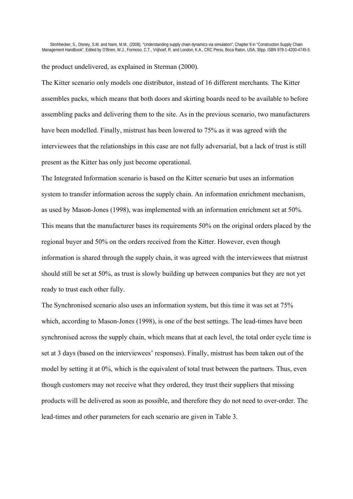the product undelivered, as explained in Sterman (2000).

The Kitter scenario only models one distributor, instead of 16 different merchants. The Kitter assembles packs, which means that both doors and skirting boards need to be available to before assembling packs and delivering them to the site. As in the previous scenario, two manufacturers have been modelled. Finally, mistrust has been lowered to 75% as it was agreed with the interviewees that the relationships in this case are not fully adversarial, but a lack of trust is still present as the Kitter has only just become operational.

The Integrated Information scenario is based on the Kitter scenario but uses an information system to transfer information across the supply chain. An information enrichment mechanism, as used by Mason-Jones (1998), was implemented with an information enrichment set at 50%. This means that the manufacturer bases its requirements 50% on the original orders placed by the regional buyer and 50% on the orders received from the Kitter. However, even though information is shared through the supply chain, it was agreed with the interviewees that mistrust should still be set at 50%, as trust is slowly building up between companies but they are not yet ready to trust each other fully.

The Synchronised scenario also uses an information system, but this time it was set at 75% which, according to Mason-Jones (1998), is one of the best settings. The lead-times have been synchronised across the supply chain, which means that at each level, the total order cycle time is set at 3 days (based on the interviewees' responses). Finally, mistrust has been taken out of the model by setting it at 0%, which is the equivalent of total trust between the partners. Thus, even though customers may not receive what they ordered, they trust their suppliers that missing products will be delivered as soon as possible, and therefore they do not need to over-order. The lead-times and other parameters for each scenario are given in Table 3.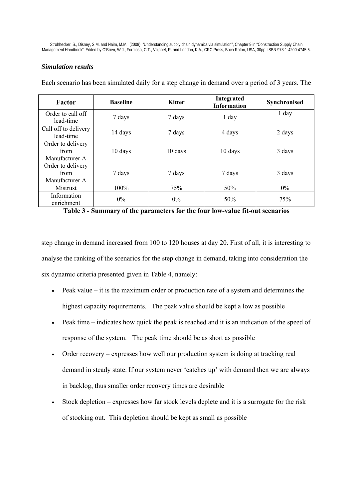### *Simulation results*

Each scenario has been simulated daily for a step change in demand over a period of 3 years. The

| Factor                                      | <b>Baseline</b> | <b>Kitter</b> | Integrated<br><b>Information</b> | Synchronised |
|---------------------------------------------|-----------------|---------------|----------------------------------|--------------|
| Order to call off<br>lead-time              | 7 days          | 7 days        | $1$ day                          | $1$ day      |
| Call off to delivery<br>lead-time           | 14 days         | 7 days        | 4 days                           | 2 days       |
| Order to delivery<br>from<br>Manufacturer A | 10 days         | 10 days       | 10 days                          | 3 days       |
| Order to delivery<br>from<br>Manufacturer A | 7 days          | 7 days        | 7 days                           | 3 days       |
| Mistrust                                    | 100%            | 75%           | 50%                              | $0\%$        |
| Information<br>enrichment                   | $0\%$           | 0%            | 50%                              | 75%          |

**Table 3 - Summary of the parameters for the four low-value fit-out scenarios** 

step change in demand increased from 100 to 120 houses at day 20. First of all, it is interesting to analyse the ranking of the scenarios for the step change in demand, taking into consideration the six dynamic criteria presented given in Table 4, namely:

- $\bullet$  Peak value it is the maximum order or production rate of a system and determines the highest capacity requirements. The peak value should be kept a low as possible
- Peak time indicates how quick the peak is reached and it is an indication of the speed of response of the system. The peak time should be as short as possible
- Order recovery expresses how well our production system is doing at tracking real demand in steady state. If our system never 'catches up' with demand then we are always in backlog, thus smaller order recovery times are desirable
- Stock depletion expresses how far stock levels deplete and it is a surrogate for the risk of stocking out. This depletion should be kept as small as possible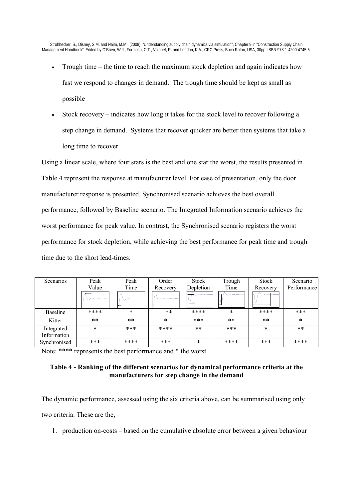- Trough time the time to reach the maximum stock depletion and again indicates how fast we respond to changes in demand. The trough time should be kept as small as possible
- Stock recovery indicates how long it takes for the stock level to recover following a step change in demand. Systems that recover quicker are better then systems that take a long time to recover.

Using a linear scale, where four stars is the best and one star the worst, the results presented in Table 4 represent the response at manufacturer level. For ease of presentation, only the door manufacturer response is presented. Synchronised scenario achieves the best overall performance, followed by Baseline scenario. The Integrated Information scenario achieves the worst performance for peak value. In contrast, the Synchronised scenario registers the worst performance for stock depletion, while achieving the best performance for peak time and trough time due to the short lead-times.

| Scenarios                 | Peak<br>Value | Peak<br>Time | Order<br>Recovery | <b>Stock</b><br>Depletion | Trough<br>Time | Stock<br>Recovery | Scenario<br>Performance |
|---------------------------|---------------|--------------|-------------------|---------------------------|----------------|-------------------|-------------------------|
| Baseline                  | ****          | *            | $***$             | ****                      | $\ast$         | ****              | ***                     |
| Kitter                    | **            | **           | $\ast$            | ***                       | $***$          | $***$             | $\ast$                  |
| Integrated<br>Information | $\ast$        | ***          | ****              | **                        | ***            | *                 | $***$                   |
| Synchronised              | ***           | ****         | ***               | $\ast$                    | ****           | ***               | ****                    |

Note: \*\*\*\* represents the best performance and \* the worst

# **Table 4 - Ranking of the different scenarios for dynamical performance criteria at the manufacturers for step change in the demand**

The dynamic performance, assessed using the six criteria above, can be summarised using only two criteria. These are the,

1. production on-costs – based on the cumulative absolute error between a given behaviour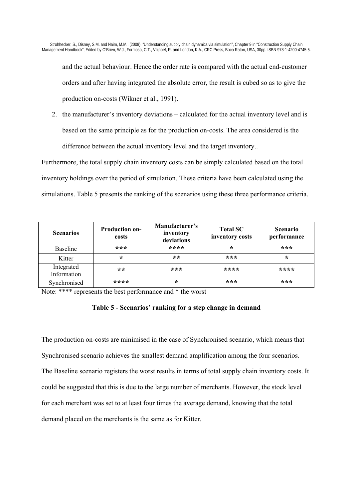and the actual behaviour. Hence the order rate is compared with the actual end-customer orders and after having integrated the absolute error, the result is cubed so as to give the production on-costs (Wikner et al., 1991).

2. the manufacturer's inventory deviations – calculated for the actual inventory level and is based on the same principle as for the production on-costs. The area considered is the difference between the actual inventory level and the target inventory..

Furthermore, the total supply chain inventory costs can be simply calculated based on the total inventory holdings over the period of simulation. These criteria have been calculated using the simulations. Table 5 presents the ranking of the scenarios using these three performance criteria.

| <b>Scenarios</b>          | <b>Production on-</b><br>costs | Manufacturer's<br>inventory<br>deviations | <b>Total SC</b><br>inventory costs | <b>Scenario</b><br>performance |
|---------------------------|--------------------------------|-------------------------------------------|------------------------------------|--------------------------------|
| <b>Baseline</b>           | ***                            | ****                                      | ∗                                  | ***                            |
| Kitter                    | ∗                              | **                                        | ***                                | ∗                              |
| Integrated<br>Information | **                             | ***                                       | ****                               | ****                           |
| Synchronised              | ****                           | ∗                                         | ***                                | ***                            |

Note: \*\*\*\* represents the best performance and \* the worst

# **Table 5 - Scenarios' ranking for a step change in demand**

The production on-costs are minimised in the case of Synchronised scenario, which means that Synchronised scenario achieves the smallest demand amplification among the four scenarios. The Baseline scenario registers the worst results in terms of total supply chain inventory costs. It could be suggested that this is due to the large number of merchants. However, the stock level for each merchant was set to at least four times the average demand, knowing that the total demand placed on the merchants is the same as for Kitter.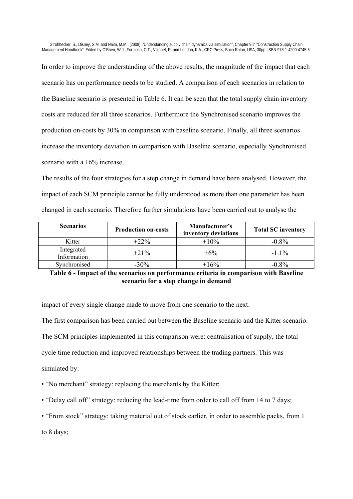In order to improve the understanding of the above results, the magnitude of the impact that each scenario has on performance needs to be studied. A comparison of each scenarios in relation to the Baseline scenario is presented in Table 6. It can be seen that the total supply chain inventory costs are reduced for all three scenarios. Furthermore the Synchronised scenario improves the production on-costs by 30% in comparison with baseline scenario. Finally, all three scenarios increase the inventory deviation in comparison with Baseline scenario, especially Synchronised scenario with a 16% increase.

The results of the four strategies for a step change in demand have been analysed. However, the impact of each SCM principle cannot be fully understood as more than one parameter has been changed in each scenario. Therefore further simulations have been carried out to analyse the

| <b>Scenarios</b>          | Manufacturer's<br><b>Production on-costs</b><br>inventory deviations |         | <b>Total SC inventory</b> |
|---------------------------|----------------------------------------------------------------------|---------|---------------------------|
| Kitter                    | $+22\%$                                                              | $+10\%$ | $-0.8\%$                  |
| Integrated<br>Information | $+21\%$                                                              | $+6\%$  | $-1.1\%$                  |
| Synchronised              | $-30\%$                                                              | $+16%$  | $-0.8\%$                  |

# **Table 6 - Impact of the scenarios on performance criteria in comparison with Baseline scenario for a step change in demand**

impact of every single change made to move from one scenario to the next.

The first comparison has been carried out between the Baseline scenario and the Kitter scenario. The SCM principles implemented in this comparison were: centralisation of supply, the total cycle time reduction and improved relationships between the trading partners. This was

simulated by:

• "No merchant" strategy: replacing the merchants by the Kitter;

- "Delay call off" strategy: reducing the lead-time from order to call off from 14 to 7 days;
- "From stock" strategy: taking material out of stock earlier, in order to assemble packs, from 1 to 8 days;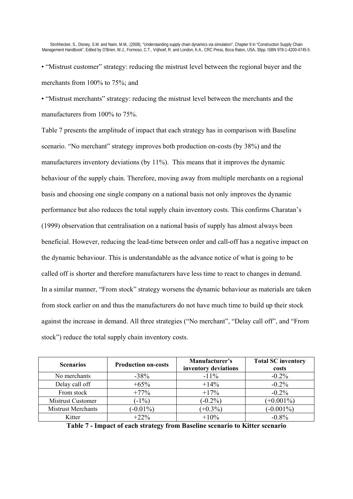• "Mistrust customer" strategy: reducing the mistrust level between the regional buyer and the merchants from 100% to 75%; and

• "Mistrust merchants" strategy: reducing the mistrust level between the merchants and the manufacturers from 100% to 75%.

Table 7 presents the amplitude of impact that each strategy has in comparison with Baseline scenario. "No merchant" strategy improves both production on-costs (by 38%) and the manufacturers inventory deviations (by 11%). This means that it improves the dynamic behaviour of the supply chain. Therefore, moving away from multiple merchants on a regional basis and choosing one single company on a national basis not only improves the dynamic performance but also reduces the total supply chain inventory costs. This confirms Charatan's (1999) observation that centralisation on a national basis of supply has almost always been beneficial. However, reducing the lead-time between order and call-off has a negative impact on the dynamic behaviour. This is understandable as the advance notice of what is going to be called off is shorter and therefore manufacturers have less time to react to changes in demand. In a similar manner, "From stock" strategy worsens the dynamic behaviour as materials are taken from stock earlier on and thus the manufacturers do not have much time to build up their stock against the increase in demand. All three strategies ("No merchant", "Delay call off", and "From stock") reduce the total supply chain inventory costs.

| <b>Scenarios</b>          | <b>Production on-costs</b> | Manufacturer's<br>inventory deviations | <b>Total SC inventory</b><br>costs |
|---------------------------|----------------------------|----------------------------------------|------------------------------------|
| No merchants              | $-38%$                     | $-11\%$                                | $-0.2\%$                           |
| Delay call off            | $+65%$                     | $+14%$                                 | $-0.2\%$                           |
| From stock                | $+77%$                     | $+17%$                                 | $-0.2\%$                           |
| <b>Mistrust Customer</b>  | $(-1%)$                    | $(-0.2\%)$                             | $(+0.001\%)$                       |
| <b>Mistrust Merchants</b> | $(-0.01\%)$                | $(+0.3\%)$                             | $(-0.001\%)$                       |
| Kitter                    | $+22\%$                    | $+10%$                                 | $-0.8%$                            |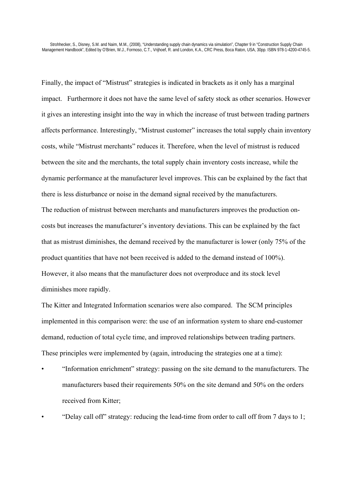Finally, the impact of "Mistrust" strategies is indicated in brackets as it only has a marginal impact. Furthermore it does not have the same level of safety stock as other scenarios. However it gives an interesting insight into the way in which the increase of trust between trading partners affects performance. Interestingly, "Mistrust customer" increases the total supply chain inventory costs, while "Mistrust merchants" reduces it. Therefore, when the level of mistrust is reduced between the site and the merchants, the total supply chain inventory costs increase, while the dynamic performance at the manufacturer level improves. This can be explained by the fact that there is less disturbance or noise in the demand signal received by the manufacturers. The reduction of mistrust between merchants and manufacturers improves the production oncosts but increases the manufacturer's inventory deviations. This can be explained by the fact that as mistrust diminishes, the demand received by the manufacturer is lower (only 75% of the product quantities that have not been received is added to the demand instead of 100%). However, it also means that the manufacturer does not overproduce and its stock level diminishes more rapidly.

The Kitter and Integrated Information scenarios were also compared. The SCM principles implemented in this comparison were: the use of an information system to share end-customer demand, reduction of total cycle time, and improved relationships between trading partners. These principles were implemented by (again, introducing the strategies one at a time):

- "Information enrichment" strategy: passing on the site demand to the manufacturers. The manufacturers based their requirements 50% on the site demand and 50% on the orders received from Kitter;
- "Delay call off" strategy: reducing the lead-time from order to call off from 7 days to 1;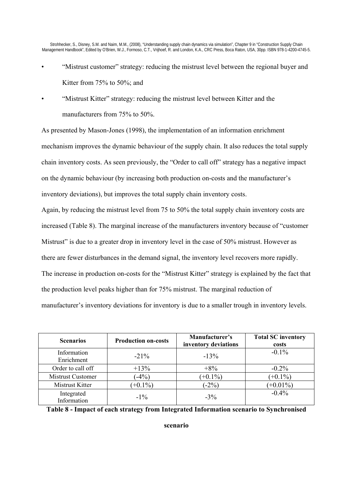- "Mistrust customer" strategy: reducing the mistrust level between the regional buyer and Kitter from 75% to 50%; and
- "Mistrust Kitter" strategy: reducing the mistrust level between Kitter and the manufacturers from 75% to 50%.

As presented by Mason-Jones (1998), the implementation of an information enrichment mechanism improves the dynamic behaviour of the supply chain. It also reduces the total supply chain inventory costs. As seen previously, the "Order to call off" strategy has a negative impact on the dynamic behaviour (by increasing both production on-costs and the manufacturer's inventory deviations), but improves the total supply chain inventory costs.

Again, by reducing the mistrust level from 75 to 50% the total supply chain inventory costs are increased (Table 8). The marginal increase of the manufacturers inventory because of "customer Mistrust" is due to a greater drop in inventory level in the case of 50% mistrust. However as there are fewer disturbances in the demand signal, the inventory level recovers more rapidly. The increase in production on-costs for the "Mistrust Kitter" strategy is explained by the fact that the production level peaks higher than for 75% mistrust. The marginal reduction of manufacturer's inventory deviations for inventory is due to a smaller trough in inventory levels.

| <b>Scenarios</b>          | <b>Production on-costs</b> | Manufacturer's<br>inventory deviations | <b>Total SC inventory</b><br>costs |
|---------------------------|----------------------------|----------------------------------------|------------------------------------|
| Information<br>Enrichment | $-21\%$                    | $-13%$                                 | $-0.1\%$                           |
| Order to call off         | $+13%$                     | $+8\%$                                 | $-0.2\%$                           |
| Mistrust Customer         | $-4\%$                     | $(+0.1\%)$                             | $(+0.1\%)$                         |
| Mistrust Kitter           | $(+0.1\%)$                 | $-2\%)$                                | $(+0.01\%)$                        |
| Integrated<br>Information | $-1\%$                     | $-3\%$                                 | $-0.4%$                            |

**Table 8 - Impact of each strategy from Integrated Information scenario to Synchronised** 

**scenario**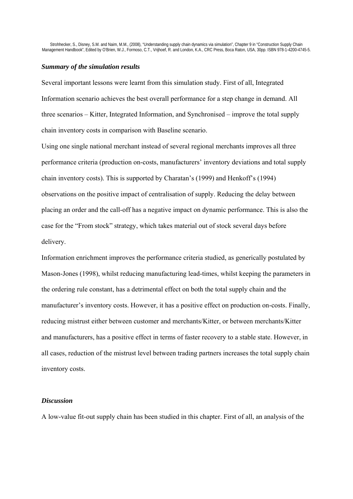#### *Summary of the simulation results*

Several important lessons were learnt from this simulation study. First of all, Integrated Information scenario achieves the best overall performance for a step change in demand. All three scenarios – Kitter, Integrated Information, and Synchronised – improve the total supply chain inventory costs in comparison with Baseline scenario.

Using one single national merchant instead of several regional merchants improves all three performance criteria (production on-costs, manufacturers' inventory deviations and total supply chain inventory costs). This is supported by Charatan's (1999) and Henkoff's (1994) observations on the positive impact of centralisation of supply. Reducing the delay between placing an order and the call-off has a negative impact on dynamic performance. This is also the case for the "From stock" strategy, which takes material out of stock several days before delivery.

Information enrichment improves the performance criteria studied, as generically postulated by Mason-Jones (1998), whilst reducing manufacturing lead-times, whilst keeping the parameters in the ordering rule constant, has a detrimental effect on both the total supply chain and the manufacturer's inventory costs. However, it has a positive effect on production on-costs. Finally, reducing mistrust either between customer and merchants/Kitter, or between merchants/Kitter and manufacturers, has a positive effect in terms of faster recovery to a stable state. However, in all cases, reduction of the mistrust level between trading partners increases the total supply chain inventory costs.

#### *Discussion*

A low-value fit-out supply chain has been studied in this chapter. First of all, an analysis of the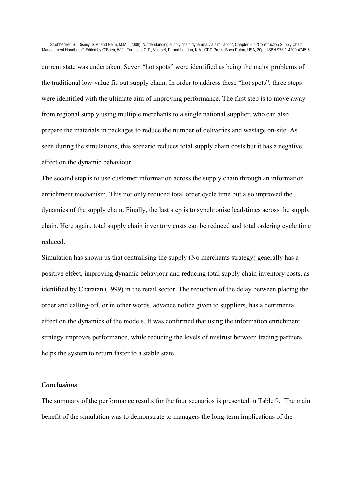Management Handbook", Edited by O'Brien, W.J., Formoso, C.T., Vrijhoef, R. and London, K.A., CRC Press, Boca Raton, USA, 30pp. ISBN 978-1-4200-4745-5. current state was undertaken. Seven "hot spots" were identified as being the major problems of the traditional low-value fit-out supply chain. In order to address these "hot spots", three steps were identified with the ultimate aim of improving performance. The first step is to move away from regional supply using multiple merchants to a single national supplier, who can also prepare the materials in packages to reduce the number of deliveries and wastage on-site. As seen during the simulations, this scenario reduces total supply chain costs but it has a negative effect on the dynamic behaviour.

Strohhecker, S., Disney, S.M. and Naim, M.M., (2008), "Understanding supply chain dynamics via simulation", Chapter 9 in "Construction Supply Chain

The second step is to use customer information across the supply chain through an information enrichment mechanism. This not only reduced total order cycle time but also improved the dynamics of the supply chain. Finally, the last step is to synchronise lead-times across the supply chain. Here again, total supply chain inventory costs can be reduced and total ordering cycle time reduced.

Simulation has shown us that centralising the supply (No merchants strategy) generally has a positive effect, improving dynamic behaviour and reducing total supply chain inventory costs, as identified by Charatan (1999) in the retail sector. The reduction of the delay between placing the order and calling-off, or in other words, advance notice given to suppliers, has a detrimental effect on the dynamics of the models. It was confirmed that using the information enrichment strategy improves performance, while reducing the levels of mistrust between trading partners helps the system to return faster to a stable state.

### *Conclusions*

The summary of the performance results for the four scenarios is presented in Table 9. The main benefit of the simulation was to demonstrate to managers the long-term implications of the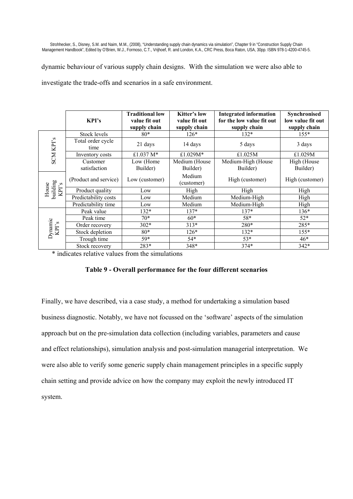dynamic behaviour of various supply chain designs. With the simulation we were also able to investigate the trade-offs and scenarios in a safe environment.

|                  | KPI's                     | <b>Traditional low</b><br>value fit out<br>supply chain | Kitter's low<br>value fit out<br>supply chain | <b>Integrated information</b><br>for the low value fit out<br>supply chain | <b>Synchronised</b><br>low value fit out<br>supply chain |
|------------------|---------------------------|---------------------------------------------------------|-----------------------------------------------|----------------------------------------------------------------------------|----------------------------------------------------------|
|                  | Stock levels              | $80*$                                                   | $126*$                                        | $132*$                                                                     | $155*$                                                   |
| <b>SCM KPI's</b> | Total order cycle<br>time | 21 days                                                 | 14 days                                       | 5 days                                                                     | 3 days                                                   |
|                  | Inventory costs           | £1.037 $M*$                                             | £1.029 $M^*$                                  | £1.025 $M$                                                                 | £1.029M                                                  |
|                  | Customer<br>satisfaction  | Low (Home<br>Builder)                                   | Medium (House<br>Builder)                     | Medium-High (House<br>Builder)                                             | High (House<br>Builder)                                  |
| building         | (Product and service)     | Low (customer)                                          | Medium<br>(customer)                          | High (customer)                                                            | High (customer)                                          |
| House<br>KPI's   | Product quality           | Low                                                     | High                                          | High                                                                       | High                                                     |
|                  | Predictability costs      | Low                                                     | Medium                                        | Medium-High                                                                | High                                                     |
|                  | Predictability time       | Low                                                     | Medium                                        | Medium-High                                                                | High                                                     |
|                  | Peak value                | $132*$                                                  | $137*$                                        | $137*$                                                                     | $136*$                                                   |
|                  | Peak time                 | $70*$                                                   | $60*$                                         | $58*$                                                                      | $52*$                                                    |
| Dynamic<br>KPI's | Order recovery            | $302*$                                                  | $313*$                                        | 280*                                                                       | 285*                                                     |
|                  | Stock depletion           | $80*$                                                   | $126*$                                        | 132*                                                                       | $155*$                                                   |
|                  | Trough time               | 59*                                                     | $54*$                                         | $53*$                                                                      | $46*$                                                    |
|                  | Stock recovery            | $283*$                                                  | 348*                                          | $374*$                                                                     | $342*$                                                   |

\* indicates relative values from the simulations

# **Table 9 - Overall performance for the four different scenarios**

Finally, we have described, via a case study, a method for undertaking a simulation based business diagnostic. Notably, we have not focussed on the 'software' aspects of the simulation approach but on the pre-simulation data collection (including variables, parameters and cause and effect relationships), simulation analysis and post-simulation managerial interpretation. We were also able to verify some generic supply chain management principles in a specific supply chain setting and provide advice on how the company may exploit the newly introduced IT system.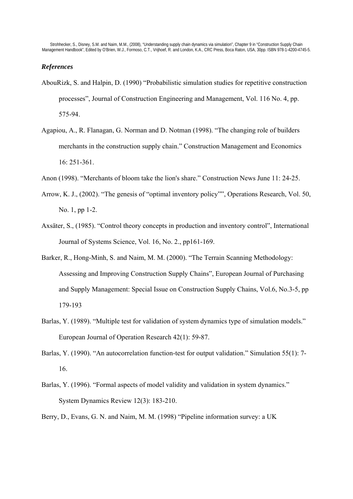#### *References*

- AbouRizk, S. and Halpin, D. (1990) "Probabilistic simulation studies for repetitive construction processes", Journal of Construction Engineering and Management, Vol. 116 No. 4, pp. 575-94.
- Agapiou, A., R. Flanagan, G. Norman and D. Notman (1998). "The changing role of builders merchants in the construction supply chain." Construction Management and Economics 16: 251-361.
- Anon (1998). "Merchants of bloom take the lion's share." Construction News June 11: 24-25.
- Arrow, K. J., (2002). "The genesis of "optimal inventory policy"", Operations Research, Vol. 50, No. 1, pp 1-2.
- Axsäter, S., (1985). "Control theory concepts in production and inventory control", International Journal of Systems Science, Vol. 16, No. 2., pp161-169.
- Barker, R., Hong-Minh, S. and Naim, M. M. (2000). "The Terrain Scanning Methodology: Assessing and Improving Construction Supply Chains", European Journal of Purchasing and Supply Management: Special Issue on Construction Supply Chains, Vol.6, No.3-5, pp 179-193
- Barlas, Y. (1989). "Multiple test for validation of system dynamics type of simulation models." European Journal of Operation Research 42(1): 59-87.
- Barlas, Y. (1990). "An autocorrelation function-test for output validation." Simulation 55(1): 7-16.
- Barlas, Y. (1996). "Formal aspects of model validity and validation in system dynamics." System Dynamics Review 12(3): 183-210.
- Berry, D., Evans, G. N. and Naim, M. M. (1998) "Pipeline information survey: a UK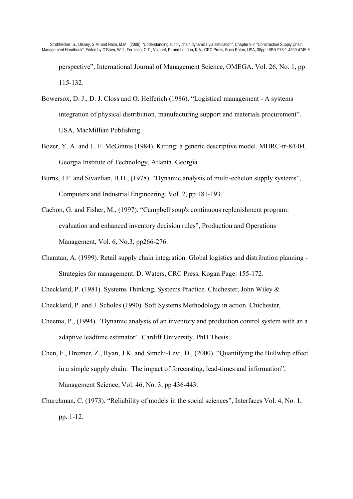perspective", International Journal of Management Science, OMEGA, Vol. 26, No. 1, pp 115-132.

- Bowersox, D. J., D. J. Closs and O. Helferich (1986). "Logistical management A systems integration of physical distribution, manufacturing support and materials procurement". USA, MacMillian Publishing.
- Bozer, Y. A. and L. F. McGinnis (1984). Kitting: a generic descriptive model. MHRC-tr-84-04, Georgia Institute of Technology, Atlanta, Georgia.
- Burns, J.F. and Sivazlian, B.D., (1978). "Dynamic analysis of multi-echelon supply systems", Computers and Industrial Engineering, Vol. 2, pp 181-193.
- Cachon, G. and Fisher, M., (1997). "Campbell soup's continuous replenishment program: evaluation and enhanced inventory decision rules", Production and Operations Management, Vol. 6, No.3, pp266-276.
- Charatan, A. (1999). Retail supply chain integration. Global logistics and distribution planning Strategies for management. D. Waters, CRC Press, Kogan Page: 155-172.
- Checkland, P. (1981). Systems Thinking, Systems Practice. Chichester, John Wiley &
- Checkland, P. and J. Scholes (1990). Soft Systems Methodology in action. Chichester,
- Cheema, P., (1994). "Dynamic analysis of an inventory and production control system with an a adaptive leadtime estimator". Cardiff University. PhD Thesis.
- Chen, F., Drezner, Z., Ryan, J.K. and Simchi-Levi, D., (2000). "Quantifying the Bullwhip effect in a simple supply chain: The impact of forecasting, lead-times and information", Management Science, Vol. 46, No. 3, pp 436-443.
- Churchman, C. (1973). "Reliability of models in the social sciences", Interfaces Vol. 4, No. 1, pp. 1-12.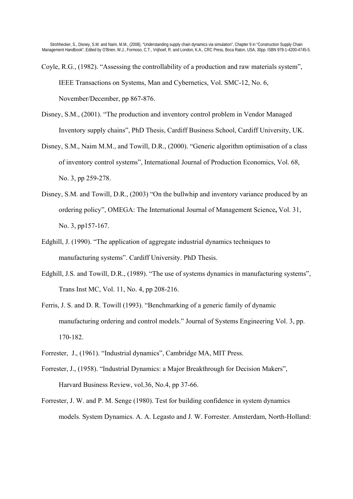- Coyle, R.G., (1982). "Assessing the controllability of a production and raw materials system", IEEE Transactions on Systems, Man and Cybernetics, Vol. SMC-12, No. 6, November/December, pp 867-876.
- Disney, S.M., (2001). "The production and inventory control problem in Vendor Managed Inventory supply chains", PhD Thesis, Cardiff Business School, Cardiff University, UK.
- Disney, S.M., Naim M.M., and Towill, D.R., (2000). "Generic algorithm optimisation of a class of inventory control systems", International Journal of Production Economics, Vol. 68, No. 3, pp 259-278.
- Disney, S.M. and Towill, D.R., (2003) "On the bullwhip and inventory variance produced by an ordering policy", OMEGA: The International Journal of Management Science**,** Vol. 31, No. 3, pp157-167.
- Edghill, J. (1990). "The application of aggregate industrial dynamics techniques to manufacturing systems". Cardiff University. PhD Thesis.
- Edghill, J.S. and Towill, D.R., (1989). "The use of systems dynamics in manufacturing systems", Trans Inst MC, Vol. 11, No. 4, pp 208-216.
- Ferris, J. S. and D. R. Towill (1993). "Benchmarking of a generic family of dynamic manufacturing ordering and control models." Journal of Systems Engineering Vol. 3, pp. 170-182.
- Forrester, J., (1961). "Industrial dynamics", Cambridge MA, MIT Press.
- Forrester, J., (1958). "Industrial Dynamics: a Major Breakthrough for Decision Makers", Harvard Business Review, vol.36, No.4, pp 37-66.
- Forrester, J. W. and P. M. Senge (1980). Test for building confidence in system dynamics models. System Dynamics. A. A. Legasto and J. W. Forrester. Amsterdam, North-Holland: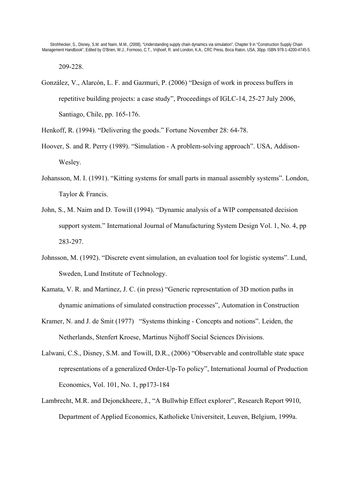209-228.

González, V., Alarcón, L. F. and Gazmuri, P. (2006) "Design of work in process buffers in repetitive building projects: a case study", Proceedings of IGLC-14, 25-27 July 2006, Santiago, Chile, pp. 165-176.

Henkoff, R. (1994). "Delivering the goods." Fortune November 28: 64-78.

- Hoover, S. and R. Perry (1989). "Simulation A problem-solving approach". USA, Addison-Wesley.
- Johansson, M. I. (1991). "Kitting systems for small parts in manual assembly systems". London, Taylor & Francis.
- John, S., M. Naim and D. Towill (1994). "Dynamic analysis of a WIP compensated decision support system." International Journal of Manufacturing System Design Vol. 1, No. 4, pp 283-297.
- Johnsson, M. (1992). "Discrete event simulation, an evaluation tool for logistic systems". Lund, Sweden, Lund Institute of Technology.
- Kamata, V. R. and Martinez, J. C. (in press) "Generic representation of 3D motion paths in dynamic animations of simulated construction processes", Automation in Construction
- Kramer, N. and J. de Smit (1977) "Systems thinking Concepts and notions". Leiden, the Netherlands, Stenfert Kroese, Martinus Nijhoff Social Sciences Divisions.
- Lalwani, C.S., Disney, S.M. and Towill, D.R., (2006) "Observable and controllable state space representations of a generalized Order-Up-To policy", International Journal of Production Economics, Vol. 101, No. 1, pp173-184
- Lambrecht, M.R. and Dejonckheere, J., "A Bullwhip Effect explorer", Research Report 9910, Department of Applied Economics, Katholieke Universiteit, Leuven, Belgium, 1999a.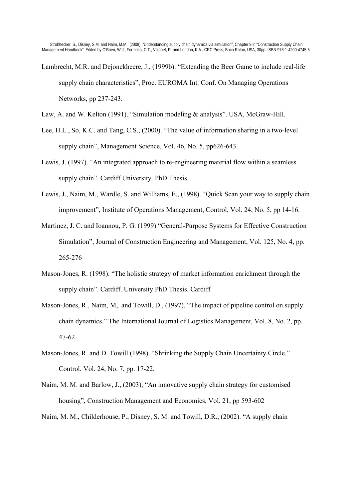Lambrecht, M.R. and Dejonckheere, J., (1999b). "Extending the Beer Game to include real-life supply chain characteristics", Proc. EUROMA Int. Conf. On Managing Operations Networks, pp 237-243.

Law, A. and W. Kelton (1991). "Simulation modeling & analysis". USA, McGraw-Hill.

- Lee, H.L., So, K.C. and Tang, C.S., (2000). "The value of information sharing in a two-level supply chain", Management Science, Vol. 46, No. 5, pp626-643.
- Lewis, J. (1997). "An integrated approach to re-engineering material flow within a seamless supply chain". Cardiff University. PhD Thesis.
- Lewis, J., Naim, M., Wardle, S. and Williams, E., (1998). "Quick Scan your way to supply chain improvement", Institute of Operations Management, Control, Vol. 24, No. 5, pp 14-16.
- Martinez, J. C. and Ioannou, P. G. (1999) "General-Purpose Systems for Effective Construction Simulation", Journal of Construction Engineering and Management, Vol. 125, No. 4, pp. 265-276
- Mason-Jones, R. (1998). "The holistic strategy of market information enrichment through the supply chain". Cardiff. University PhD Thesis. Cardiff
- Mason-Jones, R., Naim, M,. and Towill, D., (1997). "The impact of pipeline control on supply chain dynamics." The International Journal of Logistics Management, Vol. 8, No. 2, pp. 47-62.
- Mason-Jones, R. and D. Towill (1998). "Shrinking the Supply Chain Uncertainty Circle." Control, Vol. 24, No. 7, pp. 17-22.
- Naim, M. M. and Barlow, J., (2003), "An innovative supply chain strategy for customised housing", Construction Management and Economics, Vol. 21, pp 593-602

Naim, M. M., Childerhouse, P., Disney, S. M. and Towill, D.R., (2002). "A supply chain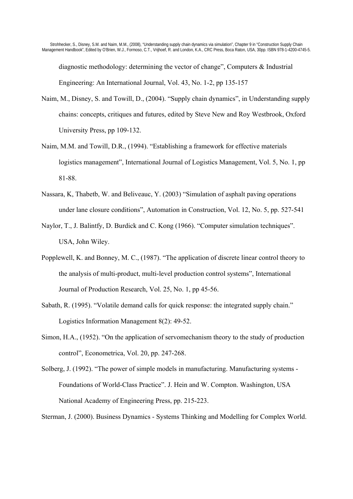diagnostic methodology: determining the vector of change", Computers & Industrial Engineering: An International Journal, Vol. 43, No. 1-2, pp 135-157

- Naim, M., Disney, S. and Towill, D., (2004). "Supply chain dynamics", in Understanding supply chains: concepts, critiques and futures, edited by Steve New and Roy Westbrook, Oxford University Press, pp 109-132.
- Naim, M.M. and Towill, D.R., (1994). "Establishing a framework for effective materials logistics management", International Journal of Logistics Management, Vol. 5, No. 1, pp 81-88.
- Nassara, K, Thabetb, W. and Beliveauc, Y. (2003) "Simulation of asphalt paving operations under lane closure conditions", Automation in Construction, Vol. 12, No. 5, pp. 527-541
- Naylor, T., J. Balintfy, D. Burdick and C. Kong (1966). "Computer simulation techniques". USA, John Wiley.
- Popplewell, K. and Bonney, M. C., (1987). "The application of discrete linear control theory to the analysis of multi-product, multi-level production control systems", International Journal of Production Research, Vol. 25, No. 1, pp 45-56.
- Sabath, R. (1995). "Volatile demand calls for quick response: the integrated supply chain." Logistics Information Management 8(2): 49-52.
- Simon, H.A., (1952). "On the application of servomechanism theory to the study of production control", Econometrica, Vol. 20, pp. 247-268.
- Solberg, J. (1992). "The power of simple models in manufacturing. Manufacturing systems Foundations of World-Class Practice". J. Hein and W. Compton. Washington, USA National Academy of Engineering Press, pp. 215-223.

Sterman, J. (2000). Business Dynamics - Systems Thinking and Modelling for Complex World.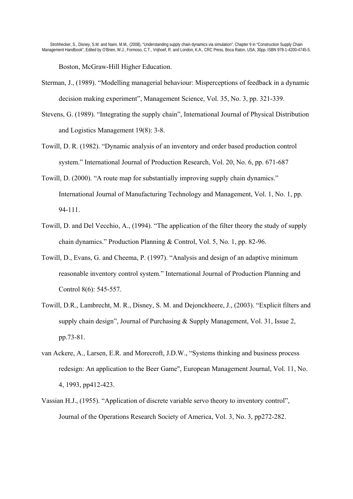Boston, McGraw-Hill Higher Education.

- Sterman, J., (1989). "Modelling managerial behaviour: Misperceptions of feedback in a dynamic decision making experiment", Management Science, Vol. 35, No. 3, pp. 321-339.
- Stevens, G. (1989). "Integrating the supply chain", International Journal of Physical Distribution and Logistics Management 19(8): 3-8.
- Towill, D. R. (1982). "Dynamic analysis of an inventory and order based production control system." International Journal of Production Research, Vol. 20, No. 6, pp. 671-687
- Towill, D. (2000). "A route map for substantially improving supply chain dynamics." International Journal of Manufacturing Technology and Management, Vol. 1, No. 1, pp. 94-111.
- Towill, D. and Del Vecchio, A., (1994). "The application of the filter theory the study of supply chain dynamics." Production Planning & Control, Vol. 5, No. 1, pp. 82-96.
- Towill, D., Evans, G. and Cheema, P. (1997). "Analysis and design of an adaptive minimum reasonable inventory control system." International Journal of Production Planning and Control 8(6): 545-557.
- Towill, D.R., Lambrecht, M. R., Disney, S. M. and Dejonckheere, J., (2003). "Explicit filters and supply chain design", Journal of Purchasing & Supply Management, Vol. 31, Issue 2, pp.73-81.
- van Ackere, A., Larsen, E.R. and Morecroft, J.D.W., "Systems thinking and business process redesign: An application to the Beer Game", European Management Journal, Vol. 11, No. 4, 1993, pp412-423.
- Vassian H.J., (1955). "Application of discrete variable servo theory to inventory control", Journal of the Operations Research Society of America, Vol. 3, No. 3, pp272-282.